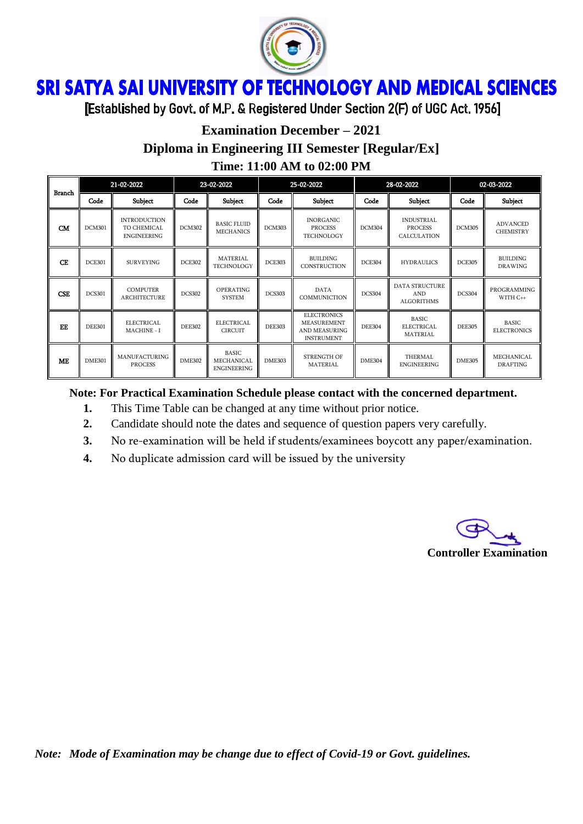

## ì Ï

[Established by Govt. of M.P. & Registered Under Section 2(F) of UGC Act. 1956]

# **Examination December – 2021 Diploma in Engineering III Semester [Regular/Ex] Time: 11:00 AM to 02:00 PM**

| <b>Branch</b> | 21-02-2022    |                                                          | 23-02-2022    |                                            | 25-02-2022    |                                                                                       | 28-02-2022    |                                                          | 02-03-2022    |                                     |
|---------------|---------------|----------------------------------------------------------|---------------|--------------------------------------------|---------------|---------------------------------------------------------------------------------------|---------------|----------------------------------------------------------|---------------|-------------------------------------|
|               | Code          | Subject                                                  | Code          | Subject                                    | Code          | Subject                                                                               | Code          | Subject                                                  | Code          | Subject                             |
| CM            | <b>DCM301</b> | <b>INTRODUCTION</b><br>TO CHEMICAL<br><b>ENGINEERING</b> | <b>DCM302</b> | <b>BASIC FLUID</b><br><b>MECHANICS</b>     | <b>DCM303</b> | <b>INORGANIC</b><br><b>PROCESS</b><br>TECHNOLOGY                                      | DCM304        | <b>INDUSTRIAL</b><br><b>PROCESS</b><br>CALCULATION       | <b>DCM305</b> | <b>ADVANCED</b><br><b>CHEMISTRY</b> |
| CE            | <b>DCE301</b> | <b>SURVEYING</b>                                         | <b>DCE302</b> | MATERIAL<br>TECHNOLOGY                     | <b>DCE303</b> | <b>BUILDING</b><br>CONSTRUCTION                                                       | <b>DCE304</b> | <b>HYDRAULICS</b>                                        | <b>DCE305</b> | <b>BUILDING</b><br><b>DRAWING</b>   |
| <b>CSE</b>    | <b>DCS301</b> | <b>COMPUTER</b><br>ARCHITECTURE                          | <b>DCS302</b> | <b>OPERATING</b><br><b>SYSTEM</b>          | <b>DCS303</b> | <b>DATA</b><br>COMMUNICTION                                                           | <b>DCS304</b> | <b>DATA STRUCTURE</b><br><b>AND</b><br><b>ALGORITHMS</b> | <b>DCS304</b> | PROGRAMMING<br>WITH C++             |
| EE            | <b>DEE301</b> | ELECTRICAL<br><b>MACHINE - I</b>                         | <b>DEE302</b> | <b>ELECTRICAL</b><br><b>CIRCUIT</b>        | <b>DEE303</b> | <b>ELECTRONICS</b><br><b>MEASUREMENT</b><br><b>AND MEASURING</b><br><b>INSTRUMENT</b> | <b>DEE304</b> | <b>BASIC</b><br><b>ELECTRICAL</b><br>MATERIAL            | <b>DEE305</b> | <b>BASIC</b><br><b>ELECTRONICS</b>  |
| ME            | <b>DME301</b> | <b>MANUFACTURING</b><br><b>PROCESS</b>                   | <b>DME302</b> | BASIC.<br>MECHANICAL<br><b>ENGINEERING</b> | <b>DME303</b> | STRENGTH OF<br>MATERIAL                                                               | <b>DME304</b> | THERMAL<br><b>ENGINEERING</b>                            | <b>DME305</b> | MECHANICAL<br><b>DRAFTING</b>       |

#### **Note: For Practical Examination Schedule please contact with the concerned department.**

- **1.** This Time Table can be changed at any time without prior notice.
- **2.** Candidate should note the dates and sequence of question papers very carefully.
- **3.** No re-examination will be held if students/examinees boycott any paper/examination.
- **4.** No duplicate admission card will be issued by the university

**Controller Examination**